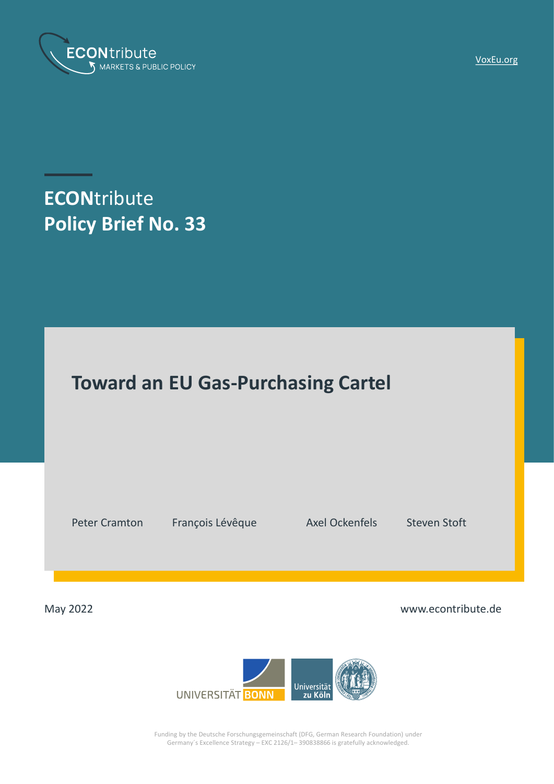

[VoxEu.org](https://voxeu.org/article/eu-gas-purchasing-cartel-framework)

**ECON**tribute **Policy Brief No. 33**



Peter Cramton François Lévêque Axel Ockenfels Steven Stoft

May 2022 www.econtribute.de



Funding by the Deutsche Forschungsgemeinschaft (DFG, German Research Foundation) under Germany´s Excellence Strategy – EXC 2126/1– 390838866 is gratefully acknowledged.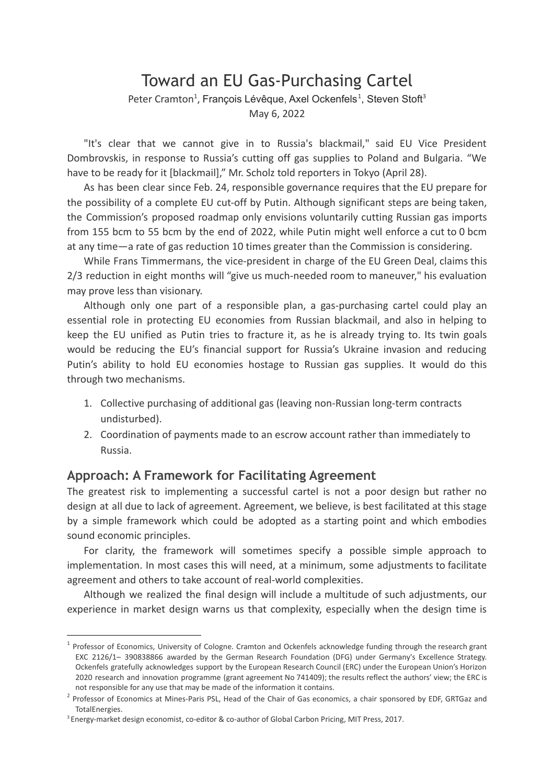# Toward an EU Gas-Purchasing Cartel Peter Cramton<sup>1</sup>, François Lévêque, Axel Ockenfels<sup>1</sup>, Steven Stoft<sup>3</sup> May 6, 2022

"It's clear that we cannot give in to Russia's blackmail," said EU Vice President Dombrovskis, in response to Russia's cutting off gas supplies to Poland and Bulgaria. "We have to be ready for it [blackmail]," Mr. Scholz told reporters in Tokyo (April 28).

As has been clear since Feb. 24, responsible governance requires that the EU prepare for the possibility of a complete EU cut-off by Putin. Although significant steps are being taken, the Commission's proposed roadmap only envisions voluntarily cutting Russian gas imports from 155 bcm to 55 bcm by the end of 2022, while Putin might well enforce a cut to 0 bcm at any time—a rate of gas reduction 10 times greater than the Commission is considering.

While Frans Timmermans, the vice-president in charge of the EU Green Deal, claims this 2/3 reduction in eight months will "give us much-needed room to maneuver," his evaluation may prove less than visionary.

Although only one part of a responsible plan, a gas-purchasing cartel could play an essential role in protecting EU economies from Russian blackmail, and also in helping to keep the EU unified as Putin tries to fracture it, as he is already trying to. Its twin goals would be reducing the EU's financial support for Russia's Ukraine invasion and reducing Putin's ability to hold EU economies hostage to Russian gas supplies. It would do this through two mechanisms.

- 1. Collective purchasing of additional gas (leaving non-Russian long-term contracts undisturbed).
- 2. Coordination of payments made to an escrow account rather than immediately to Russia.

## **Approach: A Framework for Facilitating Agreement**

The greatest risk to implementing a successful cartel is not a poor design but rather no design at all due to lack of agreement. Agreement, we believe, is best facilitated at this stage by a simple framework which could be adopted as a starting point and which embodies sound economic principles.

For clarity, the framework will sometimes specify a possible simple approach to implementation. In most cases this will need, at a minimum, some adjustments to facilitate agreement and others to take account of real-world complexities.

Although we realized the final design will include a multitude of such adjustments, our experience in market design warns us that complexity, especially when the design time is

 $1$  Professor of Economics, University of Cologne. Cramton and Ockenfels acknowledge funding through the research grant EXC 2126/1– 390838866 awarded by the German Research Foundation (DFG) under Germany's Excellence Strategy. Ockenfels gratefully acknowledges support by the European Research Council (ERC) under the European Union's Horizon 2020 research and innovation programme (grant agreement No 741409); the results reflect the authors' view; the ERC is not responsible for any use that may be made of the information it contains.

<sup>&</sup>lt;sup>2</sup> Professor of Economics at Mines-Paris PSL, Head of the Chair of Gas economics, a chair sponsored by EDF, GRTGaz and TotalEnergies.

<sup>3</sup> Energy-market design economist, co-editor & co-author of Global Carbon Pricing, MIT Press, 2017.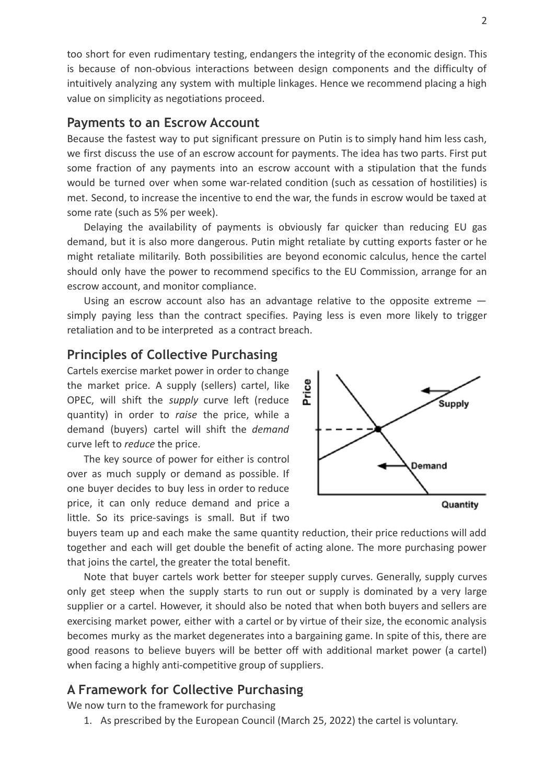too short for even rudimentary testing, endangers the integrity of the economic design. This is because of non-obvious interactions between design components and the difficulty of intuitively analyzing any system with multiple linkages. Hence we recommend placing a high value on simplicity as negotiations proceed.

## **Payments to an Escrow Account**

Because the fastest way to put significant pressure on Putin is to simply hand him less cash, we first discuss the use of an escrow account for payments. The idea has two parts. First put some fraction of any payments into an escrow account with a stipulation that the funds would be turned over when some war-related condition (such as cessation of hostilities) is met. Second, to increase the incentive to end the war, the funds in escrow would be taxed at some rate (such as 5% per week).

Delaying the availability of payments is obviously far quicker than reducing EU gas demand, but it is also more dangerous. Putin might retaliate by cutting exports faster or he might retaliate militarily. Both possibilities are beyond economic calculus, hence the cartel should only have the power to recommend specifics to the EU Commission, arrange for an escrow account, and monitor compliance.

Using an escrow account also has an advantage relative to the opposite extreme simply paying less than the contract specifies. Paying less is even more likely to trigger retaliation and to be interpreted as a contract breach.

#### **Principles of Collective Purchasing**

Cartels exercise market power in order to change the market price. A supply (sellers) cartel, like OPEC, will shift the *supply* curve left (reduce quantity) in order to *raise* the price, while a demand (buyers) cartel will shift the *demand* curve left to *reduce* the price.

The key source of power for either is control over as much supply or demand as possible. If one buyer decides to buy less in order to reduce price, it can only reduce demand and price a little. So its price-savings is small. But if two



buyers team up and each make the same quantity reduction, their price reductions will add together and each will get double the benefit of acting alone. The more purchasing power that joins the cartel, the greater the total benefit.

Note that buyer cartels work better for steeper supply curves. Generally, supply curves only get steep when the supply starts to run out or supply is dominated by a very large supplier or a cartel. However, it should also be noted that when both buyers and sellers are exercising market power, either with a cartel or by virtue of their size, the economic analysis becomes murky as the market degenerates into a bargaining game. In spite of this, there are good reasons to believe buyers will be better off with additional market power (a cartel) when facing a highly anti-competitive group of suppliers.

# **A Framework for Collective Purchasing**

We now turn to the framework for purchasing

1. As prescribed by the European Council (March 25, 2022) the cartel is voluntary.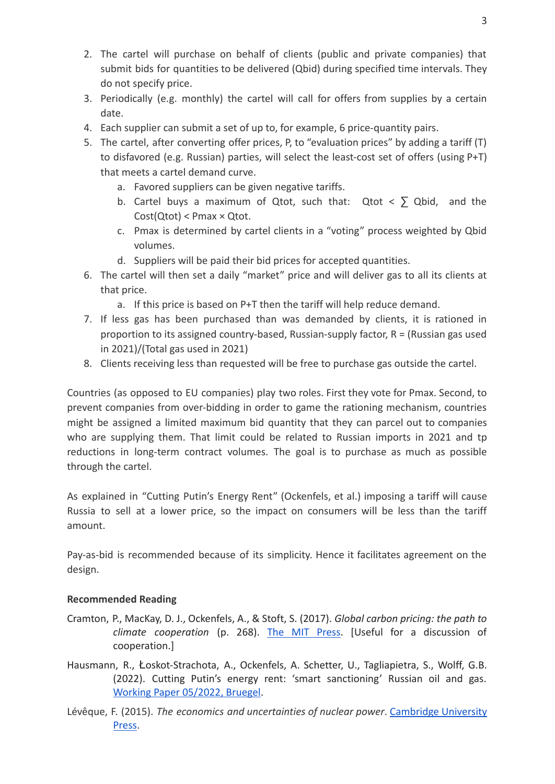- 2. The cartel will purchase on behalf of clients (public and private companies) that submit bids for quantities to be delivered (Qbid) during specified time intervals. They do not specify price.
- 3. Periodically (e.g. monthly) the cartel will call for offers from supplies by a certain date.
- 4. Each supplier can submit a set of up to, for example, 6 price-quantity pairs.
- 5. The cartel, after converting offer prices, P, to "evaluation prices" by adding a tariff (T) to disfavored (e.g. Russian) parties, will select the least-cost set of offers (using P+T) that meets a cartel demand curve.
	- a. Favored suppliers can be given negative tariffs.
	- b. Cartel buys a maximum of Qtot, such that: Qtot  $\lt$   $\gt$  Qbid, and the Cost(Qtot) < Pmax × Qtot.
	- c. Pmax is determined by cartel clients in a "voting" process weighted by Qbid volumes.
	- d. Suppliers will be paid their bid prices for accepted quantities.
- 6. The cartel will then set a daily "market" price and will deliver gas to all its clients at that price.
	- a. If this price is based on P+T then the tariff will help reduce demand.
- 7. If less gas has been purchased than was demanded by clients, it is rationed in proportion to its assigned country-based, Russian-supply factor,  $R = (Russian gas used$ in 2021)/(Total gas used in 2021)
- 8. Clients receiving less than requested will be free to purchase gas outside the cartel.

Countries (as opposed to EU companies) play two roles. First they vote for Pmax. Second, to prevent companies from over-bidding in order to game the rationing mechanism, countries might be assigned a limited maximum bid quantity that they can parcel out to companies who are supplying them. That limit could be related to Russian imports in 2021 and tp reductions in long-term contract volumes. The goal is to purchase as much as possible through the cartel.

As explained in "Cutting Putin's Energy Rent" (Ockenfels, et al.) imposing a tariff will cause Russia to sell at a lower price, so the impact on consumers will be less than the tariff amount.

Pay-as-bid is recommended because of its simplicity. Hence it facilitates agreement on the design.

## **Recommended Reading**

- Cramton, P., MacKay, D. J., Ockenfels, A., & Stoft, S. (2017). *Global carbon pricing: the path to climate cooperation* (p. 268). The MIT [Press.](https://mitpress.mit.edu/books/global-carbon-pricing) [Useful for a discussion of cooperation.]
- Hausmann, R., Łoskot-Strachota, A., Ockenfels, A. Schetter, U., Tagliapietra, S., Wolff, G.B. (2022). Cutting Putin's energy rent: 'smart sanctioning' Russian oil and gas. [Working Paper 05/2022, Bruegel](https://www.bruegel.org/2022/04/cutting-putins-energy-rent-smart-sanctioning-russian-oil-and-gas-2).
- Lévêque, F. (2015). *The economics and uncertainties of nuclear power*. [Cambridge](https://www.cambridge.org/core/books/economics-and-uncertainties-of-nuclear-power/DC27862D35A1622A1764F262B7B62D99) University [Press](https://www.cambridge.org/core/books/economics-and-uncertainties-of-nuclear-power/DC27862D35A1622A1764F262B7B62D99).